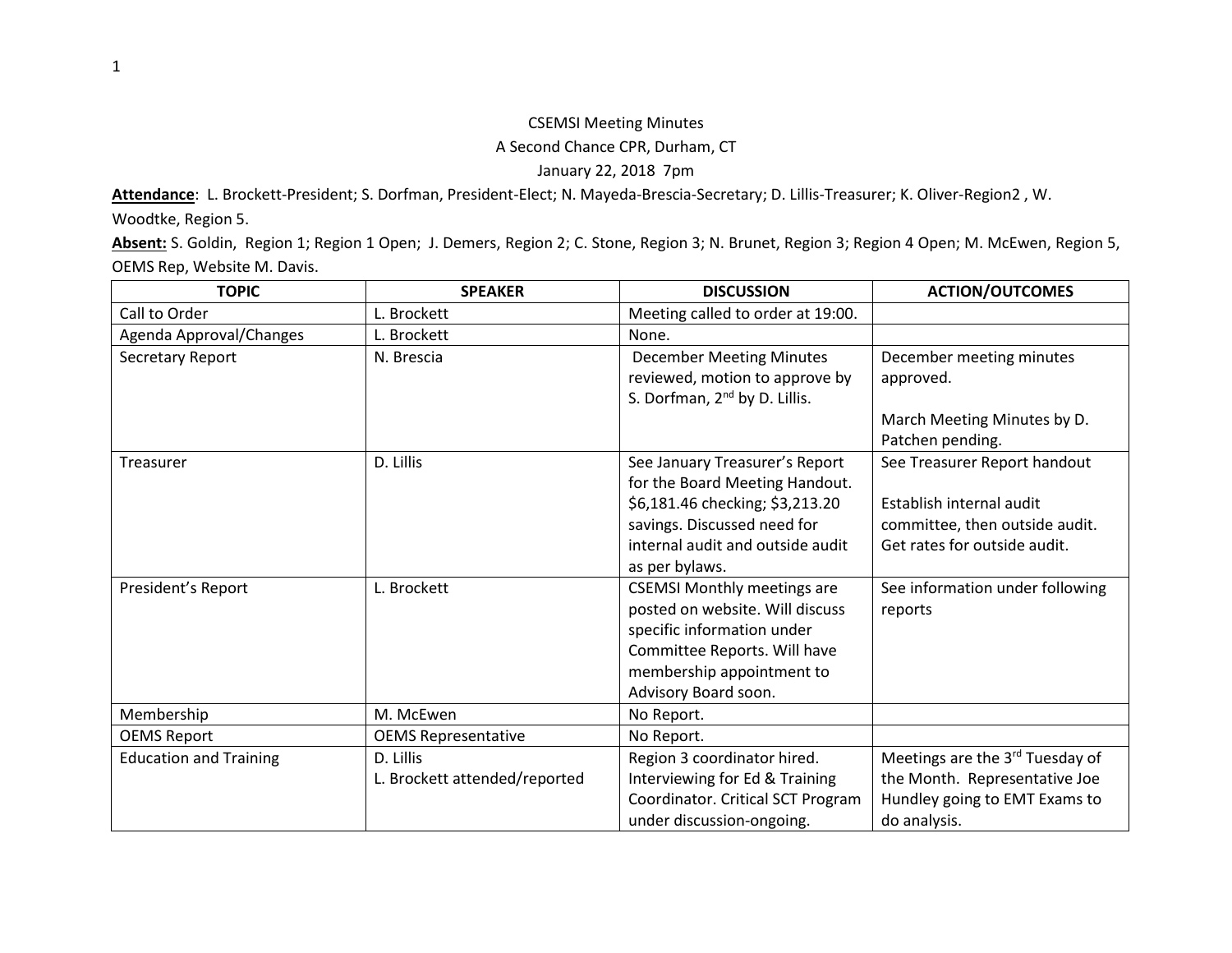## CSEMSI Meeting Minutes A Second Chance CPR, Durham, CT January 22, 2018 7pm

**Attendance**: L. Brockett-President; S. Dorfman, President-Elect; N. Mayeda-Brescia-Secretary; D. Lillis-Treasurer; K. Oliver-Region2 , W. Woodtke, Region 5.

**Absent:** S. Goldin, Region 1; Region 1 Open; J. Demers, Region 2; C. Stone, Region 3; N. Brunet, Region 3; Region 4 Open; M. McEwen, Region 5, OEMS Rep, Website M. Davis.

| <b>TOPIC</b>                  | <b>SPEAKER</b>                | <b>DISCUSSION</b>                         | <b>ACTION/OUTCOMES</b>          |
|-------------------------------|-------------------------------|-------------------------------------------|---------------------------------|
| Call to Order                 | L. Brockett                   | Meeting called to order at 19:00.         |                                 |
| Agenda Approval/Changes       | L. Brockett                   | None.                                     |                                 |
| Secretary Report              | N. Brescia                    | <b>December Meeting Minutes</b>           | December meeting minutes        |
|                               |                               | reviewed, motion to approve by            | approved.                       |
|                               |                               | S. Dorfman, 2 <sup>nd</sup> by D. Lillis. |                                 |
|                               |                               |                                           | March Meeting Minutes by D.     |
|                               |                               |                                           | Patchen pending.                |
| <b>Treasurer</b>              | D. Lillis                     | See January Treasurer's Report            | See Treasurer Report handout    |
|                               |                               | for the Board Meeting Handout.            |                                 |
|                               |                               | \$6,181.46 checking; \$3,213.20           | Establish internal audit        |
|                               |                               | savings. Discussed need for               | committee, then outside audit.  |
|                               |                               | internal audit and outside audit          | Get rates for outside audit.    |
|                               |                               | as per bylaws.                            |                                 |
| President's Report            | L. Brockett                   | <b>CSEMSI Monthly meetings are</b>        | See information under following |
|                               |                               | posted on website. Will discuss           | reports                         |
|                               |                               | specific information under                |                                 |
|                               |                               | Committee Reports. Will have              |                                 |
|                               |                               | membership appointment to                 |                                 |
|                               |                               | Advisory Board soon.                      |                                 |
| Membership                    | M. McEwen                     | No Report.                                |                                 |
| <b>OEMS Report</b>            | <b>OEMS Representative</b>    | No Report.                                |                                 |
| <b>Education and Training</b> | D. Lillis                     | Region 3 coordinator hired.               | Meetings are the 3rd Tuesday of |
|                               | L. Brockett attended/reported | Interviewing for Ed & Training            | the Month. Representative Joe   |
|                               |                               | Coordinator. Critical SCT Program         | Hundley going to EMT Exams to   |
|                               |                               | under discussion-ongoing.                 | do analysis.                    |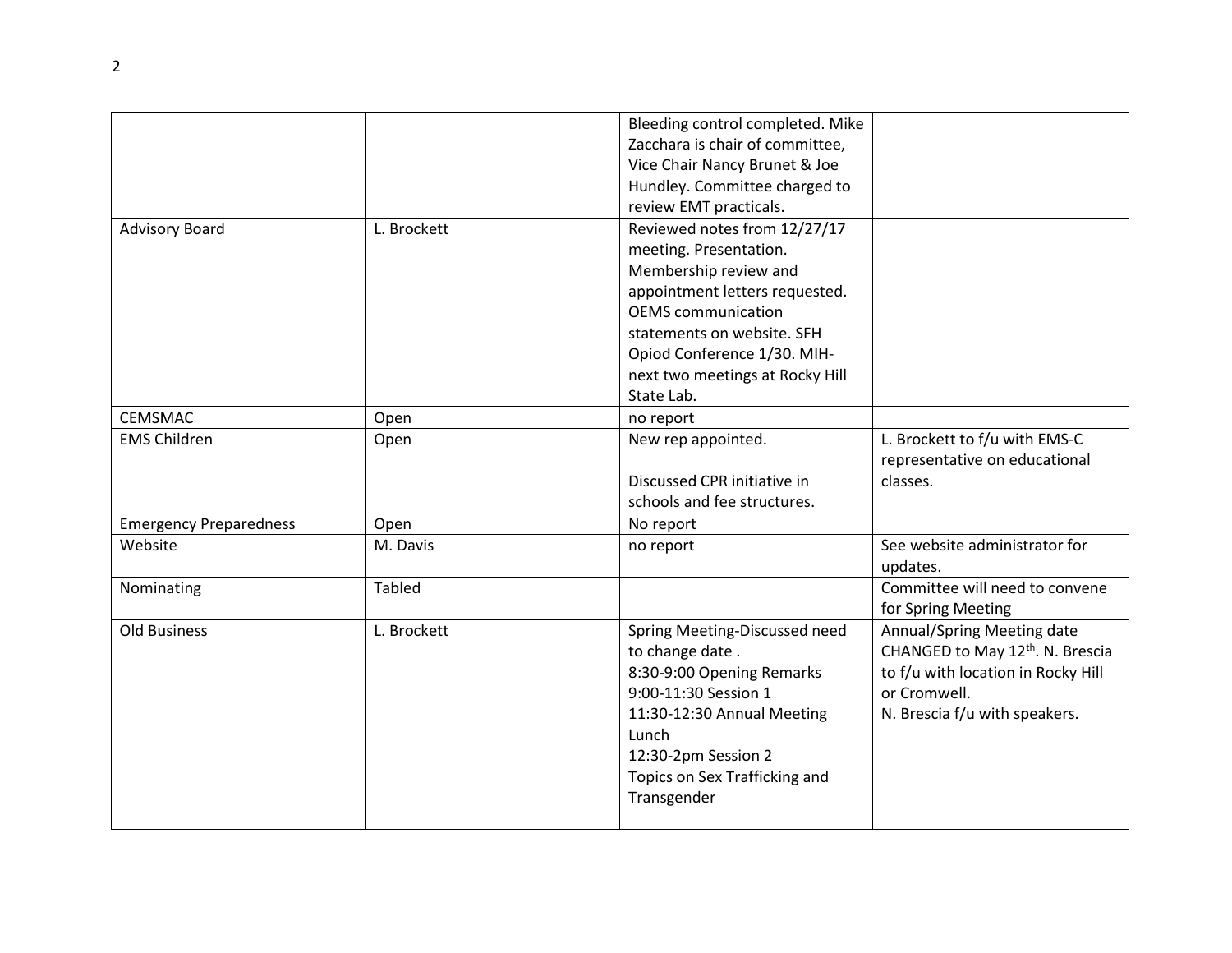|                               |               | Bleeding control completed. Mike |                                              |
|-------------------------------|---------------|----------------------------------|----------------------------------------------|
|                               |               | Zacchara is chair of committee,  |                                              |
|                               |               | Vice Chair Nancy Brunet & Joe    |                                              |
|                               |               | Hundley. Committee charged to    |                                              |
|                               |               | review EMT practicals.           |                                              |
| <b>Advisory Board</b>         | L. Brockett   | Reviewed notes from 12/27/17     |                                              |
|                               |               | meeting. Presentation.           |                                              |
|                               |               | Membership review and            |                                              |
|                               |               | appointment letters requested.   |                                              |
|                               |               | <b>OEMS</b> communication        |                                              |
|                               |               | statements on website. SFH       |                                              |
|                               |               | Opiod Conference 1/30. MIH-      |                                              |
|                               |               | next two meetings at Rocky Hill  |                                              |
|                               |               | State Lab.                       |                                              |
| <b>CEMSMAC</b>                | Open          | no report                        |                                              |
| <b>EMS Children</b>           | Open          | New rep appointed.               | L. Brockett to f/u with EMS-C                |
|                               |               |                                  | representative on educational                |
|                               |               | Discussed CPR initiative in      | classes.                                     |
|                               |               | schools and fee structures.      |                                              |
| <b>Emergency Preparedness</b> | Open          | No report                        |                                              |
| Website                       | M. Davis      | no report                        | See website administrator for                |
|                               |               |                                  | updates.                                     |
| Nominating                    | <b>Tabled</b> |                                  | Committee will need to convene               |
|                               |               |                                  | for Spring Meeting                           |
| <b>Old Business</b>           | L. Brockett   | Spring Meeting-Discussed need    | Annual/Spring Meeting date                   |
|                               |               | to change date.                  | CHANGED to May 12 <sup>th</sup> . N. Brescia |
|                               |               | 8:30-9:00 Opening Remarks        | to f/u with location in Rocky Hill           |
|                               |               | 9:00-11:30 Session 1             | or Cromwell.                                 |
|                               |               | 11:30-12:30 Annual Meeting       | N. Brescia f/u with speakers.                |
|                               |               | Lunch                            |                                              |
|                               |               | 12:30-2pm Session 2              |                                              |
|                               |               | Topics on Sex Trafficking and    |                                              |
|                               |               | Transgender                      |                                              |
|                               |               |                                  |                                              |